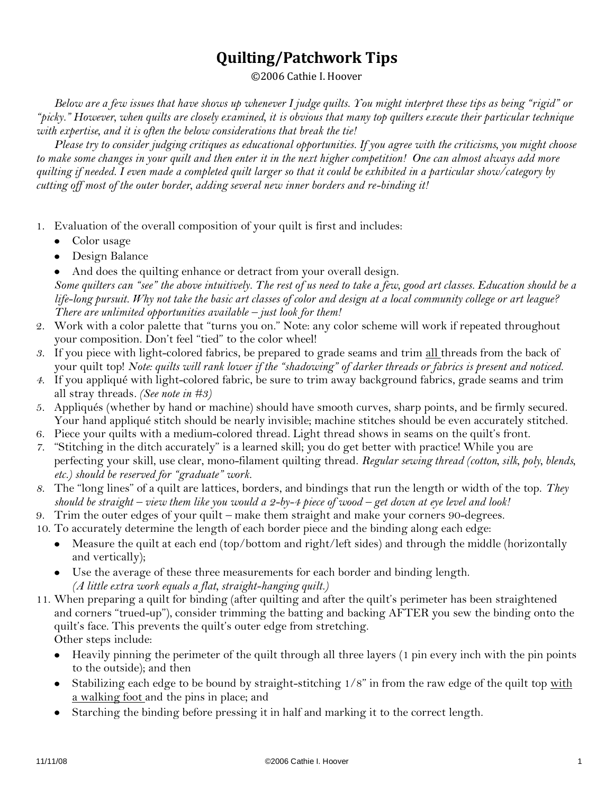## **Quilting/Patchwork Tips**

©2006 Cathie I. Hoover

*Below are a few issues that have shows up whenever I judge quilts. You might interpret these tips as being "rigid" or "picky." However, when quilts are closely examined, it is obvious that many top quilters execute their particular technique with expertise, and it is often the below considerations that break the tie!*

*Please try to consider judging critiques as educational opportunities. If you agree with the criticisms, you might choose to make some changes in your quilt and then enter it in the next higher competition! One can almost always add more quilting if needed. I even made a completed quilt larger so that it could be exhibited in a particular show/category by cutting off most of the outer border, adding several new inner borders and re-binding it!*

- 1. Evaluation of the overall composition of your quilt is first and includes:
	- Color usage
	- Design Balance

And does the quilting enhance or detract from your overall design. *Some quilters can "see" the above intuitively. The rest of us need to take a few, good art classes. Education should be a life-long pursuit. Why not take the basic art classes of color and design at a local community college or art league? There are unlimited opportunities available – just look for them!*

- 2. Work with a color palette that "turns you on." Note: any color scheme will work if repeated throughout your composition. Don't feel "tied" to the color wheel!
- *3.* If you piece with light-colored fabrics, be prepared to grade seams and trim all threads from the back of your quilt top! *Note: quilts will rank lower if the "shadowing" of darker threads or fabrics is present and noticed.*
- *4.* If you appliqué with light-colored fabric, be sure to trim away background fabrics, grade seams and trim all stray threads*. (See note in #3)*
- 5. Appliqués (whether by hand or machine) should have smooth curves, sharp points, and be firmly secured. Your hand appliqué stitch should be nearly invisible; machine stitches should be even accurately stitched.
- 6. Piece your quilts with a medium-colored thread. Light thread shows in seams on the quilt's front.
- *7.* "Stitching in the ditch accurately" is a learned skill; you do get better with practice! While you are perfecting your skill, use clear, mono-filament quilting thread. *Regular sewing thread (cotton, silk, poly, blends, etc.) should be reserved for "graduate" work.*
- *8.* The "long lines" of a quilt are lattices, borders, and bindings that run the length or width of the top. *They should be straight – view them like you would a 2-by-4 piece of wood – get down at eye level and look!*
- 9. Trim the outer edges of your quilt make them straight and make your corners 90-degrees.
- 10. To accurately determine the length of each border piece and the binding along each edge:
	- Measure the quilt at each end (top/bottom and right/left sides) and through the middle (horizontally and vertically);
	- Use the average of these three measurements for each border and binding length. *(A little extra work equals a flat, straight-hanging quilt.)*
- 11. When preparing a quilt for binding (after quilting and after the quilt's perimeter has been straightened and corners "trued-up"), consider trimming the batting and backing AFTER you sew the binding onto the quilt's face. This prevents the quilt's outer edge from stretching. Other steps include:
	- Heavily pinning the perimeter of the quilt through all three layers (1 pin every inch with the pin points to the outside); and then
	- Stabilizing each edge to be bound by straight-stitching 1/8" in from the raw edge of the quilt top with a walking foot and the pins in place; and
	- Starching the binding before pressing it in half and marking it to the correct length.